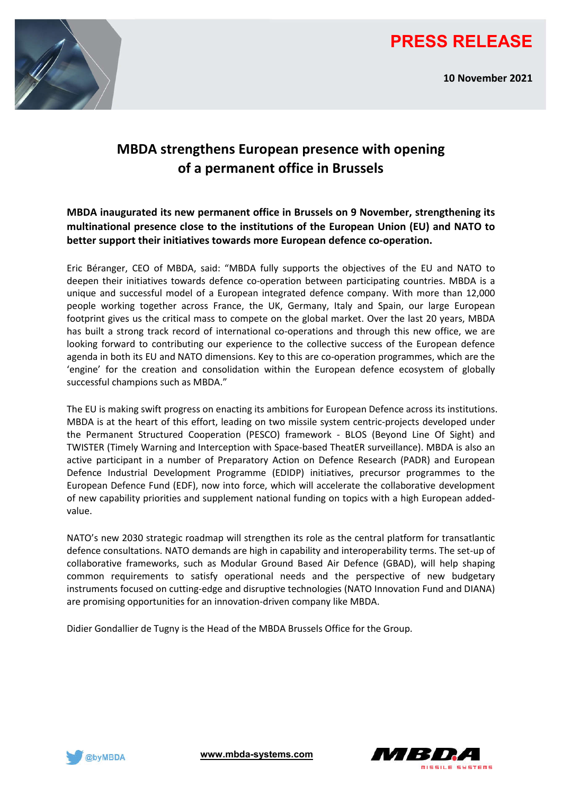

**10 November 2021**



# **MBDA strengthens European presence with opening of a permanent office in Brussels**

**MBDA inaugurated its new permanent office in Brussels on 9 November, strengthening its multinational presence close to the institutions of the European Union (EU) and NATO to better support their initiatives towards more European defence co-operation.**

Eric Béranger, CEO of MBDA, said: "MBDA fully supports the objectives of the EU and NATO to deepen their initiatives towards defence co-operation between participating countries. MBDA is a unique and successful model of a European integrated defence company. With more than 12,000 people working together across France, the UK, Germany, Italy and Spain, our large European footprint gives us the critical mass to compete on the global market. Over the last 20 years, MBDA has built a strong track record of international co-operations and through this new office, we are looking forward to contributing our experience to the collective success of the European defence agenda in both its EU and NATO dimensions. Key to this are co-operation programmes, which are the 'engine' for the creation and consolidation within the European defence ecosystem of globally successful champions such as MBDA."

The EU is making swift progress on enacting its ambitions for European Defence across its institutions. MBDA is at the heart of this effort, leading on two missile system centric-projects developed under the Permanent Structured Cooperation (PESCO) framework - BLOS (Beyond Line Of Sight) and TWISTER (Timely Warning and Interception with Space-based TheatER surveillance). MBDA is also an active participant in a number of Preparatory Action on Defence Research (PADR) and European Defence Industrial Development Programme (EDIDP) initiatives, precursor programmes to the European Defence Fund (EDF), now into force, which will accelerate the collaborative development of new capability priorities and supplement national funding on topics with a high European addedvalue.

NATO's new 2030 strategic roadmap will strengthen its role as the central platform for transatlantic defence consultations. NATO demands are high in capability and interoperability terms. The set-up of collaborative frameworks, such as Modular Ground Based Air Defence (GBAD), will help shaping common requirements to satisfy operational needs and the perspective of new budgetary instruments focused on cutting-edge and disruptive technologies (NATO Innovation Fund and DIANA) are promising opportunities for an innovation-driven company like MBDA.

Didier Gondallier de Tugny is the Head of the MBDA Brussels Office for the Group.